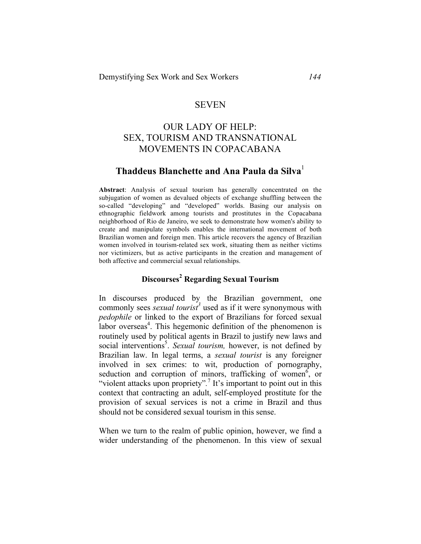## SEVEN

# OUR LADY OF HELP: SEX, TOURISM AND TRANSNATIONAL MOVEMENTS IN COPACABANA

## **Thaddeus Blanchette and Ana Paula da Silva**<sup>1</sup>

**Abstract**: Analysis of sexual tourism has generally concentrated on the subjugation of women as devalued objects of exchange shuffling between the so-called "developing" and "developed" worlds. Basing our analysis on ethnographic fieldwork among tourists and prostitutes in the Copacabana neighborhood of Rio de Janeiro, we seek to demonstrate how women's ability to create and manipulate symbols enables the international movement of both Brazilian women and foreign men. This article recovers the agency of Brazilian women involved in tourism-related sex work, situating them as neither victims nor victimizers, but as active participants in the creation and management of both affective and commercial sexual relationships.

## **Discourses<sup>2</sup> Regarding Sexual Tourism**

In discourses produced by the Brazilian government, one commonly sees *sexual tourist<sup>3</sup>* used as if it were synonymous with *pedophile* or linked to the export of Brazilians for forced sexual labor overseas<sup>4</sup>. This hegemonic definition of the phenomenon is routinely used by political agents in Brazil to justify new laws and social interventions<sup>5</sup>. *Sexual tourism*, however, is not defined by Brazilian law. In legal terms, a *sexual tourist* is any foreigner involved in sex crimes: to wit, production of pornography, seduction and corruption of minors, trafficking of women<sup>6</sup>, or "violent attacks upon propriety".<sup>7</sup> It's important to point out in this context that contracting an adult, self-employed prostitute for the provision of sexual services is not a crime in Brazil and thus should not be considered sexual tourism in this sense.

When we turn to the realm of public opinion, however, we find a wider understanding of the phenomenon. In this view of sexual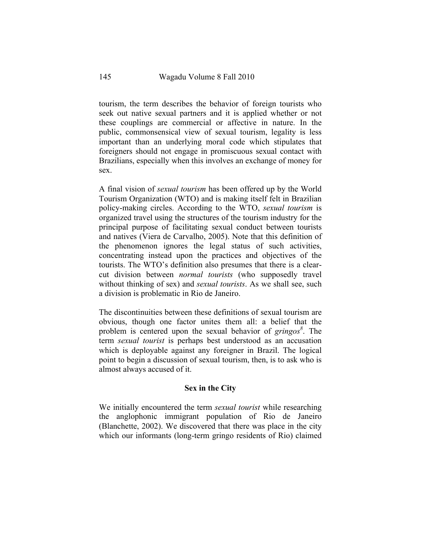tourism, the term describes the behavior of foreign tourists who seek out native sexual partners and it is applied whether or not these couplings are commercial or affective in nature. In the public, commonsensical view of sexual tourism, legality is less important than an underlying moral code which stipulates that foreigners should not engage in promiscuous sexual contact with Brazilians, especially when this involves an exchange of money for sex.

A final vision of *sexual tourism* has been offered up by the World Tourism Organization (WTO) and is making itself felt in Brazilian policy-making circles. According to the WTO, *sexual tourism* is organized travel using the structures of the tourism industry for the principal purpose of facilitating sexual conduct between tourists and natives (Viera de Carvalho, 2005). Note that this definition of the phenomenon ignores the legal status of such activities, concentrating instead upon the practices and objectives of the tourists. The WTO's definition also presumes that there is a clearcut division between *normal tourists* (who supposedly travel without thinking of sex) and *sexual tourists*. As we shall see, such a division is problematic in Rio de Janeiro.

The discontinuities between these definitions of sexual tourism are obvious, though one factor unites them all: a belief that the problem is centered upon the sexual behavior of *gringos*<sup>8</sup>. The term *sexual tourist* is perhaps best understood as an accusation which is deployable against any foreigner in Brazil. The logical point to begin a discussion of sexual tourism, then, is to ask who is almost always accused of it.

### **Sex in the City**

We initially encountered the term *sexual tourist* while researching the anglophonic immigrant population of Rio de Janeiro (Blanchette, 2002). We discovered that there was place in the city which our informants (long-term gringo residents of Rio) claimed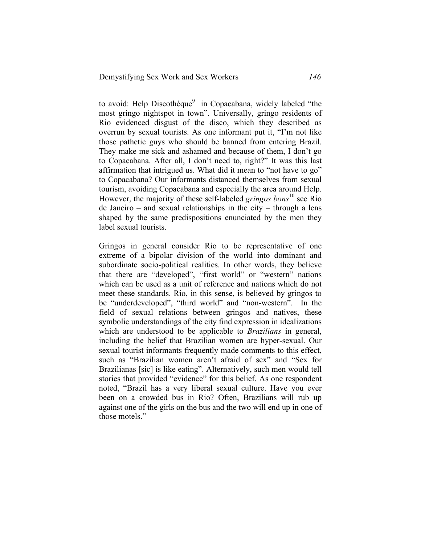to avoid: Help Discothèque<sup>9</sup> in Copacabana, widely labeled "the most gringo nightspot in town". Universally, gringo residents of Rio evidenced disgust of the disco, which they described as overrun by sexual tourists. As one informant put it, "I'm not like those pathetic guys who should be banned from entering Brazil. They make me sick and ashamed and because of them, I don't go to Copacabana. After all, I don't need to, right?" It was this last affirmation that intrigued us. What did it mean to "not have to go" to Copacabana? Our informants distanced themselves from sexual tourism, avoiding Copacabana and especially the area around Help. However, the majority of these self-labeled *gringos bons*<sup>10</sup> see Rio de Janeiro – and sexual relationships in the city – through a lens shaped by the same predispositions enunciated by the men they label sexual tourists.

Gringos in general consider Rio to be representative of one extreme of a bipolar division of the world into dominant and subordinate socio-political realities. In other words, they believe that there are "developed", "first world" or "western" nations which can be used as a unit of reference and nations which do not meet these standards. Rio, in this sense, is believed by gringos to be "underdeveloped", "third world" and "non-western". In the field of sexual relations between gringos and natives, these symbolic understandings of the city find expression in idealizations which are understood to be applicable to *Brazilians* in general, including the belief that Brazilian women are hyper-sexual. Our sexual tourist informants frequently made comments to this effect, such as "Brazilian women aren't afraid of sex" and "Sex for Brazilianas [sic] is like eating". Alternatively, such men would tell stories that provided "evidence" for this belief. As one respondent noted, "Brazil has a very liberal sexual culture. Have you ever been on a crowded bus in Rio? Often, Brazilians will rub up against one of the girls on the bus and the two will end up in one of those motels."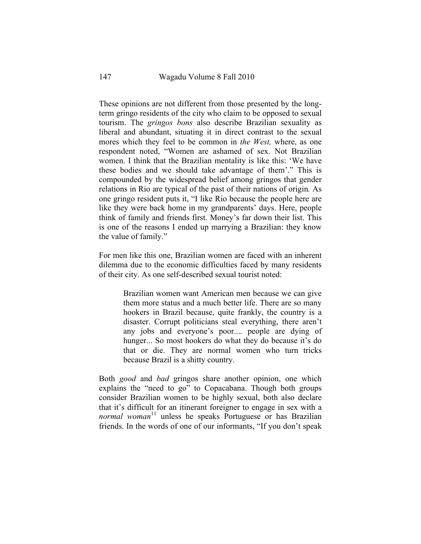These opinions are not different from those presented by the longterm gringo residents of the city who claim to be opposed to sexual tourism. The *gringos bons* also describe Brazilian sexuality as liberal and abundant, situating it in direct contrast to the sexual mores which they feel to be common in *the West,* where, as one respondent noted, "Women are ashamed of sex. Not Brazilian women. I think that the Brazilian mentality is like this: 'We have these bodies and we should take advantage of them'." This is compounded by the widespread belief among gringos that gender relations in Rio are typical of the past of their nations of origin*.* As one gringo resident puts it, "I like Rio because the people here are like they were back home in my grandparents' days. Here, people think of family and friends first. Money's far down their list. This is one of the reasons I ended up marrying a Brazilian: they know the value of family."

For men like this one, Brazilian women are faced with an inherent dilemma due to the economic difficulties faced by many residents of their city. As one self-described sexual tourist noted:

> Brazilian women want American men because we can give them more status and a much better life. There are so many hookers in Brazil because, quite frankly, the country is a disaster. Corrupt politicians steal everything, there aren't any jobs and everyone's poor.... people are dying of hunger... So most hookers do what they do because it's do that or die. They are normal women who turn tricks because Brazil is a shitty country.

Both *good* and *bad* gringos share another opinion, one which explains the "need to go" to Copacabana. Though both groups consider Brazilian women to be highly sexual, both also declare that it's difficult for an itinerant foreigner to engage in sex with a *normal woman*<sup>11</sup> unless he speaks Portuguese or has Brazilian friends. In the words of one of our informants, "If you don't speak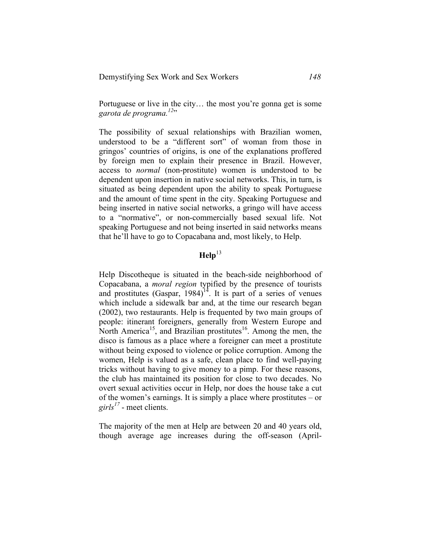Portuguese or live in the city… the most you're gonna get is some *garota de programa. <sup>12</sup>*"

The possibility of sexual relationships with Brazilian women, understood to be a "different sort" of woman from those in gringos' countries of origins, is one of the explanations proffered by foreign men to explain their presence in Brazil. However, access to *normal* (non-prostitute) women is understood to be dependent upon insertion in native social networks. This, in turn, is situated as being dependent upon the ability to speak Portuguese and the amount of time spent in the city. Speaking Portuguese and being inserted in native social networks, a gringo will have access to a "normative", or non-commercially based sexual life. Not speaking Portuguese and not being inserted in said networks means that he'll have to go to Copacabana and, most likely, to Help.

## $\text{Heln}^{13}$

Help Discotheque is situated in the beach-side neighborhood of Copacabana, a *moral region* typified by the presence of tourists and prostitutes  $(Gaspar, 1984)^{14}$ . It is part of a series of venues which include a sidewalk bar and, at the time our research began (2002), two restaurants. Help is frequented by two main groups of people: itinerant foreigners, generally from Western Europe and North America<sup>15</sup>, and Brazilian prostitutes<sup>16</sup>. Among the men, the disco is famous as a place where a foreigner can meet a prostitute without being exposed to violence or police corruption. Among the women, Help is valued as a safe, clean place to find well-paying tricks without having to give money to a pimp. For these reasons, the club has maintained its position for close to two decades. No overt sexual activities occur in Help, nor does the house take a cut of the women's earnings. It is simply a place where prostitutes – or *girls<sup>17</sup>* - meet clients.

The majority of the men at Help are between 20 and 40 years old, though average age increases during the off-season (April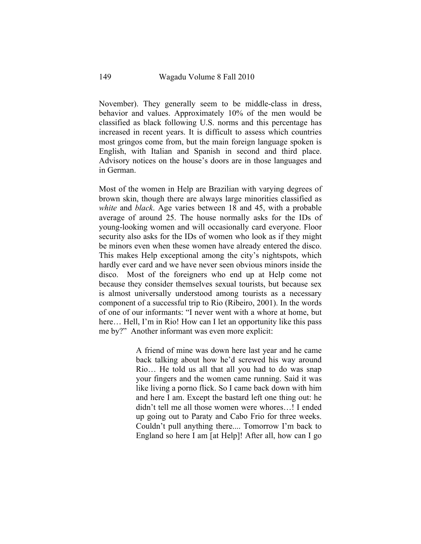November). They generally seem to be middle-class in dress, behavior and values. Approximately 10% of the men would be classified as black following U.S. norms and this percentage has increased in recent years. It is difficult to assess which countries most gringos come from, but the main foreign language spoken is English, with Italian and Spanish in second and third place. Advisory notices on the house's doors are in those languages and in German.

Most of the women in Help are Brazilian with varying degrees of brown skin, though there are always large minorities classified as *white* and *black*. Age varies between 18 and 45, with a probable average of around 25. The house normally asks for the IDs of young-looking women and will occasionally card everyone. Floor security also asks for the IDs of women who look as if they might be minors even when these women have already entered the disco. This makes Help exceptional among the city's nightspots, which hardly ever card and we have never seen obvious minors inside the disco. Most of the foreigners who end up at Help come not because they consider themselves sexual tourists, but because sex is almost universally understood among tourists as a necessary component of a successful trip to Rio (Ribeiro, 2001). In the words of one of our informants: "I never went with a whore at home, but here... Hell, I'm in Rio! How can I let an opportunity like this pass me by?" Another informant was even more explicit:

> A friend of mine was down here last year and he came back talking about how he'd screwed his way around Rio… He told us all that all you had to do was snap your fingers and the women came running. Said it was like living a porno flick. So I came back down with him and here I am. Except the bastard left one thing out: he didn't tell me all those women were whores…! I ended up going out to Paraty and Cabo Frio for three weeks. Couldn't pull anything there.... Tomorrow I'm back to England so here I am [at Help]! After all, how can I go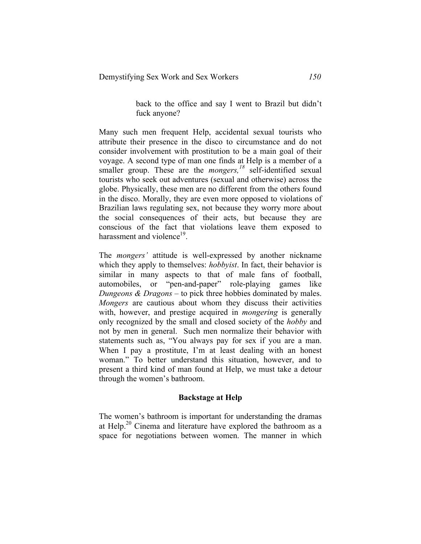back to the office and say I went to Brazil but didn't fuck anyone?

Many such men frequent Help, accidental sexual tourists who attribute their presence in the disco to circumstance and do not consider involvement with prostitution to be a main goal of their voyage. A second type of man one finds at Help is a member of a smaller group. These are the *mongers*,<sup>18</sup> self-identified sexual tourists who seek out adventures (sexual and otherwise) across the globe. Physically, these men are no different from the others found in the disco. Morally, they are even more opposed to violations of Brazilian laws regulating sex, not because they worry more about the social consequences of their acts, but because they are conscious of the fact that violations leave them exposed to harassment and violence<sup>19</sup>.

The *mongers'* attitude is well-expressed by another nickname which they apply to themselves: *hobbyist*. In fact, their behavior is similar in many aspects to that of male fans of football, automobiles, or "pen-and-paper" role-playing games like *Dungeons & Dragons* – to pick three hobbies dominated by males. *Mongers* are cautious about whom they discuss their activities with, however, and prestige acquired in *mongering* is generally only recognized by the small and closed society of the *hobby* and not by men in general. Such men normalize their behavior with statements such as, "You always pay for sex if you are a man. When I pay a prostitute, I'm at least dealing with an honest woman." To better understand this situation, however, and to present a third kind of man found at Help, we must take a detour through the women's bathroom.

#### **Backstage at Help**

The women's bathroom is important for understanding the dramas at Help.<sup>20</sup> Cinema and literature have explored the bathroom as a space for negotiations between women. The manner in which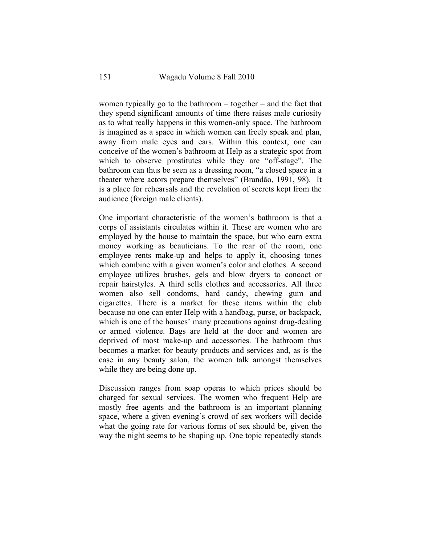women typically go to the bathroom – together – and the fact that they spend significant amounts of time there raises male curiosity as to what really happens in this women-only space. The bathroom is imagined as a space in which women can freely speak and plan, away from male eyes and ears. Within this context, one can conceive of the women's bathroom at Help as a strategic spot from which to observe prostitutes while they are "off-stage". The bathroom can thus be seen as a dressing room, "a closed space in a theater where actors prepare themselves" (Brandão, 1991, 98). It is a place for rehearsals and the revelation of secrets kept from the audience (foreign male clients).

One important characteristic of the women's bathroom is that a corps of assistants circulates within it. These are women who are employed by the house to maintain the space, but who earn extra money working as beauticians. To the rear of the room, one employee rents make-up and helps to apply it, choosing tones which combine with a given women's color and clothes. A second employee utilizes brushes, gels and blow dryers to concoct or repair hairstyles. A third sells clothes and accessories. All three women also sell condoms, hard candy, chewing gum and cigarettes. There is a market for these items within the club because no one can enter Help with a handbag, purse, or backpack, which is one of the houses' many precautions against drug-dealing or armed violence. Bags are held at the door and women are deprived of most make-up and accessories. The bathroom thus becomes a market for beauty products and services and, as is the case in any beauty salon, the women talk amongst themselves while they are being done up.

Discussion ranges from soap operas to which prices should be charged for sexual services. The women who frequent Help are mostly free agents and the bathroom is an important planning space, where a given evening's crowd of sex workers will decide what the going rate for various forms of sex should be, given the way the night seems to be shaping up. One topic repeatedly stands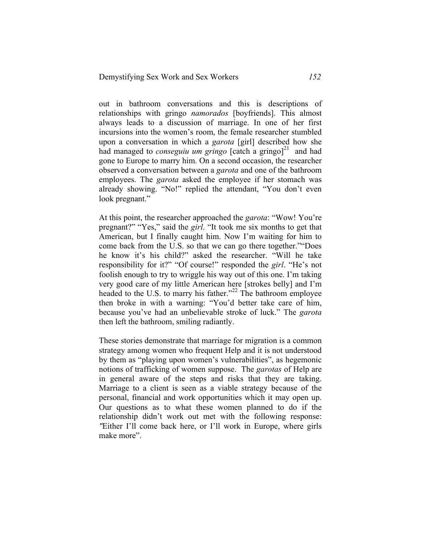out in bathroom conversations and this is descriptions of relationships with gringo *namorados* [boyfriends]. This almost always leads to a discussion of marriage. In one of her first incursions into the women's room, the female researcher stumbled upon a conversation in which a *garota* [girl] described how she had managed to *conseguiu um gringo* [catch a gringo]<sup>21</sup> and had gone to Europe to marry him. On a second occasion, the researcher observed a conversation between a *garota* and one of the bathroom employees. The *garota* asked the employee if her stomach was already showing. "No!" replied the attendant, "You don't even look pregnant."

At this point, the researcher approached the *garota*: "Wow! You're pregnant?" "Yes," said the *girl*. "It took me six months to get that American, but I finally caught him. Now I'm waiting for him to come back from the U.S. so that we can go there together.""Does he know it's his child?" asked the researcher. "Will he take responsibility for it?" "Of course!" responded the *girl*. "He's not foolish enough to try to wriggle his way out of this one. I'm taking very good care of my little American here [strokes belly] and I'm headed to the U.S. to marry his father."<sup>22</sup> The bathroom employee then broke in with a warning: "You'd better take care of him, because you've had an unbelievable stroke of luck." The *garota* then left the bathroom, smiling radiantly.

These stories demonstrate that marriage for migration is a common strategy among women who frequent Help and it is not understood by them as "playing upon women's vulnerabilities", as hegemonic notions of trafficking of women suppose. The *garotas* of Help are in general aware of the steps and risks that they are taking. Marriage to a client is seen as a viable strategy because of the personal, financial and work opportunities which it may open up. Our questions as to what these women planned to do if the relationship didn't work out met with the following response: *"*Either I'll come back here, or I'll work in Europe, where girls make more".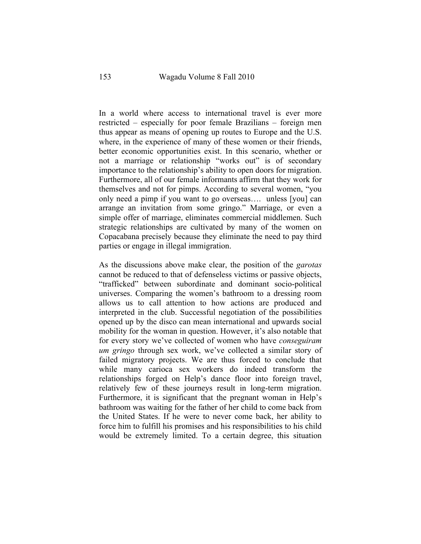In a world where access to international travel is ever more restricted – especially for poor female Brazilians – foreign men thus appear as means of opening up routes to Europe and the U.S. where, in the experience of many of these women or their friends, better economic opportunities exist. In this scenario, whether or not a marriage or relationship "works out" is of secondary importance to the relationship's ability to open doors for migration. Furthermore, all of our female informants affirm that they work for themselves and not for pimps. According to several women, "you only need a pimp if you want to go overseas…. unless [you] can arrange an invitation from some gringo." Marriage, or even a simple offer of marriage, eliminates commercial middlemen. Such strategic relationships are cultivated by many of the women on Copacabana precisely because they eliminate the need to pay third parties or engage in illegal immigration.

As the discussions above make clear, the position of the *garotas* cannot be reduced to that of defenseless victims or passive objects, "trafficked" between subordinate and dominant socio-political universes. Comparing the women's bathroom to a dressing room allows us to call attention to how actions are produced and interpreted in the club. Successful negotiation of the possibilities opened up by the disco can mean international and upwards social mobility for the woman in question. However, it's also notable that for every story we've collected of women who have *conseguiram um gringo* through sex work, we've collected a similar story of failed migratory projects. We are thus forced to conclude that while many carioca sex workers do indeed transform the relationships forged on Help's dance floor into foreign travel, relatively few of these journeys result in long-term migration. Furthermore, it is significant that the pregnant woman in Help's bathroom was waiting for the father of her child to come back from the United States. If he were to never come back, her ability to force him to fulfill his promises and his responsibilities to his child would be extremely limited. To a certain degree, this situation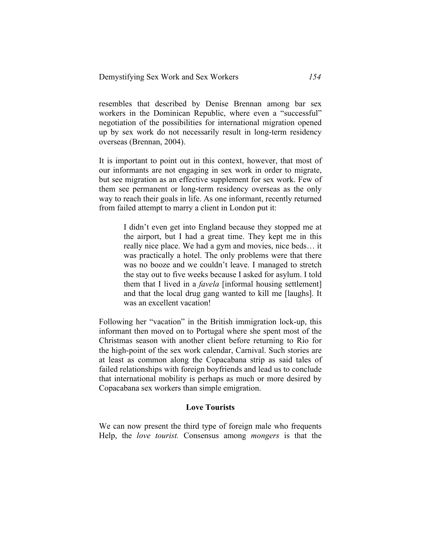resembles that described by Denise Brennan among bar sex workers in the Dominican Republic, where even a "successful" negotiation of the possibilities for international migration opened up by sex work do not necessarily result in long-term residency overseas (Brennan, 2004).

It is important to point out in this context, however, that most of our informants are not engaging in sex work in order to migrate, but see migration as an effective supplement for sex work. Few of them see permanent or long-term residency overseas as the only way to reach their goals in life. As one informant, recently returned from failed attempt to marry a client in London put it:

> I didn't even get into England because they stopped me at the airport, but I had a great time. They kept me in this really nice place. We had a gym and movies, nice beds… it was practically a hotel. The only problems were that there was no booze and we couldn't leave. I managed to stretch the stay out to five weeks because I asked for asylum. I told them that I lived in a *favela* [informal housing settlement] and that the local drug gang wanted to kill me [laughs]. It was an excellent vacation!

Following her "vacation" in the British immigration lock-up, this informant then moved on to Portugal where she spent most of the Christmas season with another client before returning to Rio for the high-point of the sex work calendar, Carnival. Such stories are at least as common along the Copacabana strip as said tales of failed relationships with foreign boyfriends and lead us to conclude that international mobility is perhaps as much or more desired by Copacabana sex workers than simple emigration.

#### **Love Tourists**

We can now present the third type of foreign male who frequents Help, the *love tourist.* Consensus among *mongers* is that the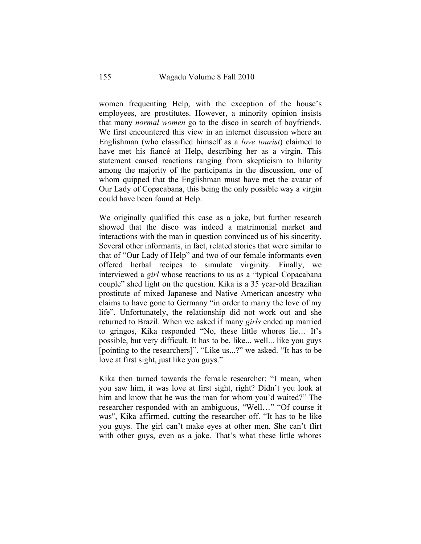women frequenting Help, with the exception of the house's employees, are prostitutes. However, a minority opinion insists that many *normal women* go to the disco in search of boyfriends. We first encountered this view in an internet discussion where an Englishman (who classified himself as a *love tourist*) claimed to have met his fiancé at Help, describing her as a virgin. This statement caused reactions ranging from skepticism to hilarity among the majority of the participants in the discussion, one of whom quipped that the Englishman must have met the avatar of Our Lady of Copacabana, this being the only possible way a virgin could have been found at Help.

We originally qualified this case as a joke, but further research showed that the disco was indeed a matrimonial market and interactions with the man in question convinced us of his sincerity. Several other informants, in fact, related stories that were similar to that of "Our Lady of Help" and two of our female informants even offered herbal recipes to simulate virginity. Finally, we interviewed a *girl* whose reactions to us as a "typical Copacabana couple" shed light on the question. Kika is a 35 year-old Brazilian prostitute of mixed Japanese and Native American ancestry who claims to have gone to Germany "in order to marry the love of my life". Unfortunately, the relationship did not work out and she returned to Brazil. When we asked if many *girls* ended up married to gringos, Kika responded "No, these little whores lie… It's possible, but very difficult. It has to be, like... well... like you guys [pointing to the researchers]". "Like us...?" we asked. "It has to be love at first sight, just like you guys."

Kika then turned towards the female researcher: "I mean, when you saw him, it was love at first sight, right? Didn't you look at him and know that he was the man for whom you'd waited?" The researcher responded with an ambiguous, "Well…" "Of course it was", Kika affirmed, cutting the researcher off. "It has to be like you guys. The girl can't make eyes at other men. She can't flirt with other guys, even as a joke. That's what these little whores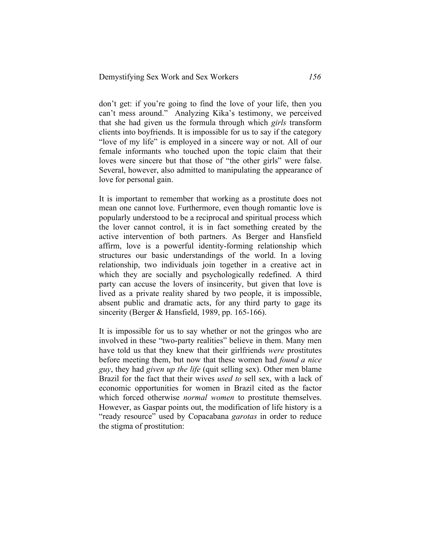don't get: if you're going to find the love of your life, then you can't mess around." Analyzing Kika's testimony, we perceived that she had given us the formula through which *girls* transform clients into boyfriends. It is impossible for us to say if the category "love of my life" is employed in a sincere way or not. All of our female informants who touched upon the topic claim that their loves were sincere but that those of "the other girls" were false. Several, however, also admitted to manipulating the appearance of love for personal gain.

It is important to remember that working as a prostitute does not mean one cannot love. Furthermore, even though romantic love is popularly understood to be a reciprocal and spiritual process which the lover cannot control, it is in fact something created by the active intervention of both partners. As Berger and Hansfield affirm, love is a powerful identity-forming relationship which structures our basic understandings of the world. In a loving relationship, two individuals join together in a creative act in which they are socially and psychologically redefined. A third party can accuse the lovers of insincerity, but given that love is lived as a private reality shared by two people, it is impossible, absent public and dramatic acts, for any third party to gage its sincerity (Berger & Hansfield, 1989, pp. 165-166).

It is impossible for us to say whether or not the gringos who are involved in these "two-party realities" believe in them. Many men have told us that they knew that their girlfriends *were* prostitutes before meeting them, but now that these women had *found a nice guy*, they had *given up the life* (quit selling sex). Other men blame Brazil for the fact that their wives *used to* sell sex, with a lack of economic opportunities for women in Brazil cited as the factor which forced otherwise *normal women* to prostitute themselves. However, as Gaspar points out, the modification of life history is a "ready resource" used by Copacabana *garotas* in order to reduce the stigma of prostitution: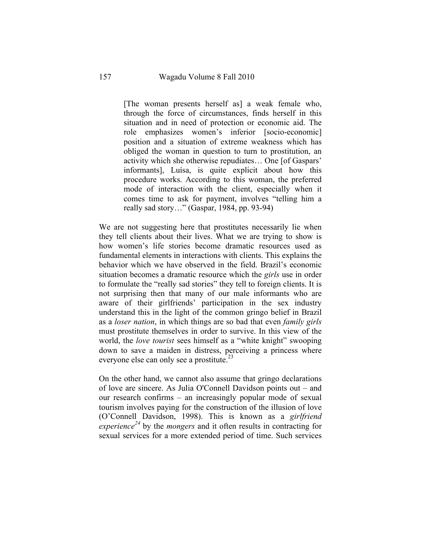[The woman presents herself as] a weak female who, through the force of circumstances, finds herself in this situation and in need of protection or economic aid. The role emphasizes women's inferior [socio-economic] position and a situation of extreme weakness which has obliged the woman in question to turn to prostitution, an activity which she otherwise repudiates… One [of Gaspars' informants], Luísa, is quite explicit about how this procedure works. According to this woman, the preferred mode of interaction with the client, especially when it comes time to ask for payment, involves "telling him a really sad story…" (Gaspar, 1984, pp. 93-94)

We are not suggesting here that prostitutes necessarily lie when they tell clients about their lives. What we are trying to show is how women's life stories become dramatic resources used as fundamental elements in interactions with clients. This explains the behavior which we have observed in the field. Brazil's economic situation becomes a dramatic resource which the *girls* use in order to formulate the "really sad stories" they tell to foreign clients. It is not surprising then that many of our male informants who are aware of their girlfriends' participation in the sex industry understand this in the light of the common gringo belief in Brazil as a *loser nation*, in which things are so bad that even *family girls* must prostitute themselves in order to survive. In this view of the world, the *love tourist* sees himself as a "white knight" swooping down to save a maiden in distress, perceiving a princess where everyone else can only see a prostitute.<sup>23</sup>

On the other hand, we cannot also assume that gringo declarations of love are sincere. As Julia O'Connell Davidson points out – and our research confirms – an increasingly popular mode of sexual tourism involves paying for the construction of the illusion of love (O'Connell Davidson, 1998). This is known as a *girlfriend experience<sup>24</sup>* by the *mongers* and it often results in contracting for sexual services for a more extended period of time. Such services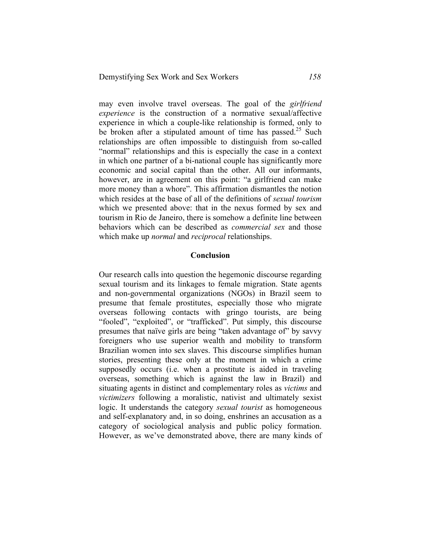may even involve travel overseas. The goal of the *girlfriend experience* is the construction of a normative sexual/affective experience in which a couple-like relationship is formed, only to be broken after a stipulated amount of time has passed.<sup>25</sup> Such relationships are often impossible to distinguish from so-called "normal" relationships and this is especially the case in a context in which one partner of a bi-national couple has significantly more economic and social capital than the other. All our informants, however, are in agreement on this point: "a girlfriend can make more money than a whore". This affirmation dismantles the notion which resides at the base of all of the definitions of *sexual tourism* which we presented above: that in the nexus formed by sex and tourism in Rio de Janeiro, there is somehow a definite line between behaviors which can be described as *commercial sex* and those which make up *normal* and *reciprocal* relationships.

#### **Conclusion**

Our research calls into question the hegemonic discourse regarding sexual tourism and its linkages to female migration. State agents and non-governmental organizations (NGOs) in Brazil seem to presume that female prostitutes, especially those who migrate overseas following contacts with gringo tourists, are being "fooled", "exploited", or "trafficked". Put simply, this discourse presumes that naïve girls are being "taken advantage of" by savvy foreigners who use superior wealth and mobility to transform Brazilian women into sex slaves. This discourse simplifies human stories, presenting these only at the moment in which a crime supposedly occurs (i.e. when a prostitute is aided in traveling overseas, something which is against the law in Brazil) and situating agents in distinct and complementary roles as *victims* and *victimizers* following a moralistic, nativist and ultimately sexist logic. It understands the category *sexual tourist* as homogeneous and self-explanatory and, in so doing, enshrines an accusation as a category of sociological analysis and public policy formation. However, as we've demonstrated above, there are many kinds of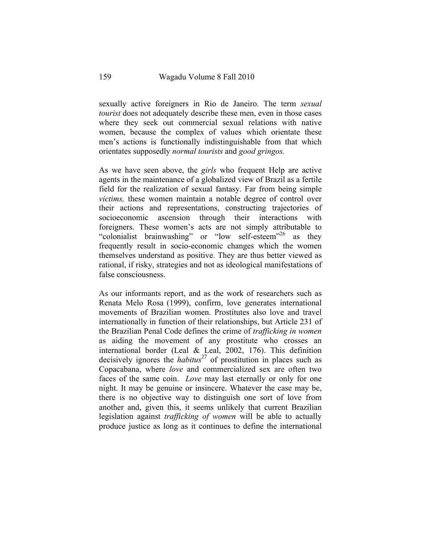sexually active foreigners in Rio de Janeiro. The term *sexual tourist* does not adequately describe these men, even in those cases where they seek out commercial sexual relations with native women, because the complex of values which orientate these men's actions is functionally indistinguishable from that which orientates supposedly *normal tourists* and *good gringos.* 

As we have seen above, the *girls* who frequent Help are active agents in the maintenance of a globalized view of Brazil as a fertile field for the realization of sexual fantasy. Far from being simple *victims,* these women maintain a notable degree of control over their actions and representations, constructing trajectories of socioeconomic ascension through their interactions with foreigners. These women's acts are not simply attributable to "colonialist brainwashing" or "low self-esteem"<sup>26</sup> as they frequently result in socio-economic changes which the women themselves understand as positive. They are thus better viewed as rational, if risky, strategies and not as ideological manifestations of false consciousness.

As our informants report, and as the work of researchers such as Renata Melo Rosa (1999), confirm, love generates international movements of Brazilian women. Prostitutes also love and travel internationally in function of their relationships, but Article 231 of the Brazilian Penal Code defines the crime of *trafficking in women*  as aiding the movement of any prostitute who crosses an international border (Leal & Leal, 2002, 176). This definition decisively ignores the *habitus*<sup>27</sup> of prostitution in places such as Copacabana, where *love* and commercialized sex are often two faces of the same coin. *Love* may last eternally or only for one night. It may be genuine or insincere. Whatever the case may be, there is no objective way to distinguish one sort of love from another and, given this, it seems unlikely that current Brazilian legislation against *trafficking of women* will be able to actually produce justice as long as it continues to define the international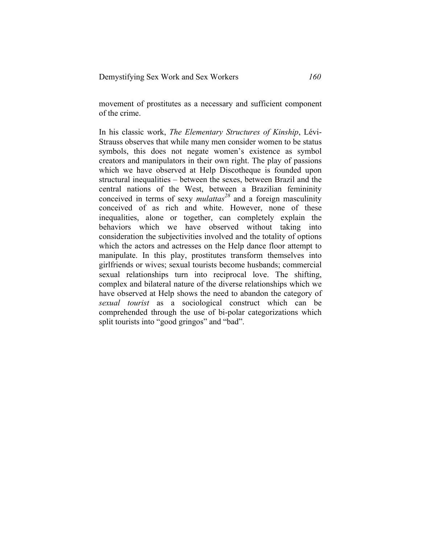movement of prostitutes as a necessary and sufficient component of the crime.

In his classic work, *The Elementary Structures of Kinship*, Lévi-Strauss observes that while many men consider women to be status symbols, this does not negate women's existence as symbol creators and manipulators in their own right. The play of passions which we have observed at Help Discotheque is founded upon structural inequalities – between the sexes, between Brazil and the central nations of the West, between a Brazilian femininity conceived in terms of sexy *mulattas<sup>28</sup>* and a foreign masculinity conceived of as rich and white. However, none of these inequalities, alone or together, can completely explain the behaviors which we have observed without taking into consideration the subjectivities involved and the totality of options which the actors and actresses on the Help dance floor attempt to manipulate. In this play, prostitutes transform themselves into girlfriends or wives; sexual tourists become husbands; commercial sexual relationships turn into reciprocal love. The shifting, complex and bilateral nature of the diverse relationships which we have observed at Help shows the need to abandon the category of *sexual tourist* as a sociological construct which can be comprehended through the use of bi-polar categorizations which split tourists into "good gringos" and "bad".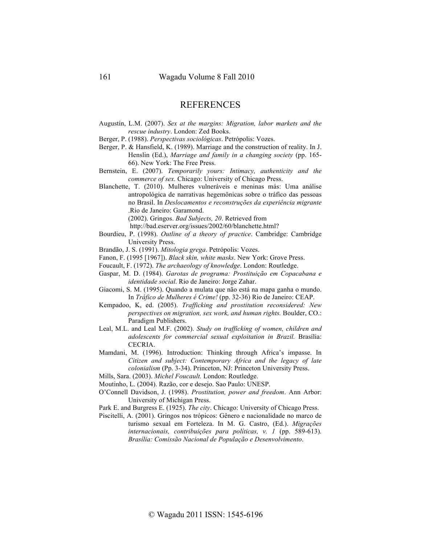## **REFERENCES**

- Augustín, L.M. (2007). *Sex at the margins: Migration, labor markets and the rescue industry*. London: Zed Books.
- Berger, P. (1988). *Perspectivas sociológicas*. Petrópolis: Vozes.
- Berger, P. & Hansfield, K. (1989). Marriage and the construction of reality. In J. Henslin (Ed.), *Marriage and family in a changing society* (pp. 165- 66). New York: The Free Press.
- Bernstein, E. (2007). *Temporarily yours: Intimacy, authenticity and the commerce of sex.* Chicago: University of Chicago Press.
- Blanchette, T. (2010). Mulheres vulneráveis e meninas más: Uma análise antropológica de narrativas hegemônicas sobre o tráfico das pessoas no Brasil. In *Deslocamentos e reconstruções da experiência migrante* .Rio de Janeiro: Garamond.
	- (2002). Gringos. *Bad Subjects, 20*. Retrieved from
	- http://bad.eserver.org/issues/2002/60/blanchette.html?
- Bourdieu, P. (1998). *Outline of a theory of practice*. Cambridge: Cambridge University Press.
- Brandão, J. S. (1991). *Mitologia grega*. Petrópolis: Vozes.
- Fanon, F. (1995 [1967]). *Black skin, white masks*. New York: Grove Press.
- Foucault, F. (1972). *The archaeology of knowledge*. London: Routledge.
- Gaspar, M. D. (1984). *Garotas de programa: Prostituição em Copacabana e identidade social*. Rio de Janeiro: Jorge Zahar.
- Giacomi, S. M. (1995). Quando a mulata que não está na mapa ganha o mundo. In *Tráfico de Mulheres é Crime!* (pp. 32-36) Rio de Janeiro: CEAP.
- Kempadoo, K, ed. (2005). *Trafficking and prostitution reconsidered: New perspectives on migration, sex work, and human rights.* Boulder, CO.: Paradigm Publishers.
- Leal, M.L. and Leal M.F. (2002). *Study on trafficking of women, children and adolescents for commercial sexual exploitation in Brazil.* Brasília: CECRIA.
- Mamdani, M. (1996). Introduction: Thinking through Africa's impasse. In *Citizen and subject: Contemporary Africa and the legacy of late colonialism* (Pp. 3-34). Princeton, NJ: Princeton University Press.
- Mills, Sara. (2003). *Michel Foucault.* London: Routledge.
- Moutinho, L. (2004). Razão, cor e desejo. Sao Paulo: UNESP.
- O'Connell Davidson, J. (1998). *Prostitution, power and freedom*. Ann Arbor: University of Michigan Press.
- Park E. and Burgress E. (1925). *The city*. Chicago: University of Chicago Press.
- Piscitelli, A. (2001). Gringos nos trópicos: Gênero e nacionalidade no marco de turismo sexual em Forteleza. In M. G. Castro, (Ed.). *Migrações internacionais, contribuições para políticas, v. 1* (pp. 589-613)*. Brasília: Comissão Nacional de População e Desenvolvimento*.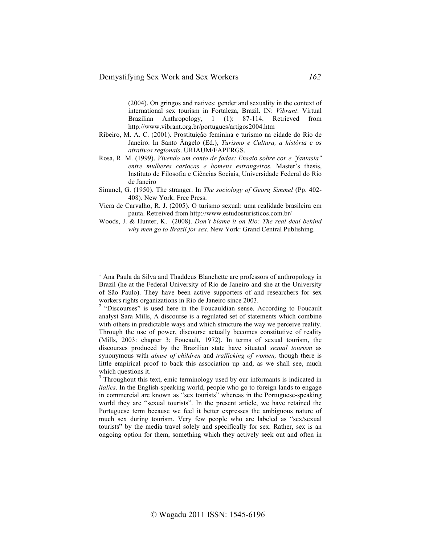(2004). On gringos and natives: gender and sexuality in the context of international sex tourism in Fortaleza, Brazil. IN: *Vibrant*: Virtual Brazilian Anthropology, 1 (1): 87-114. Retrieved from http://www.vibrant.org.br/portugues/artigos2004.htm

- Ribeiro, M. A. C. (2001). Prostituição feminina e turismo na cidade do Rio de Janeiro. In Santo Ângelo (Ed.), *Turismo e Cultura, a história e os atrativos regionais*. URIAUM/FAPERGS.
- Rosa, R. M. (1999). *Vivendo um conto de fadas: Ensaio sobre cor e "fantasia" entre mulheres cariocas e homens estrangeiros.* Master's thesis, Instituto de Filosofia e Ciências Sociais, Universidade Federal do Rio de Janeiro
- Simmel, G. (1950). The stranger. In *The sociology of Georg Simmel* (Pp. 402- 408)*.* New York: Free Press.
- Viera de Carvalho, R. J. (2005). O turismo sexual: uma realidade brasileira em pauta. Retreived from http://www.estudosturisticos.com.br/
- Woods, J. & Hunter, K. (2008). *Don't blame it on Rio: The real deal behind why men go to Brazil for sex.* New York: Grand Central Publishing.

<sup>&</sup>lt;sup>1</sup> Ana Paula da Silva and Thaddeus Blanchette are professors of anthropology in Brazil (he at the Federal University of Rio de Janeiro and she at the University of São Paulo). They have been active supporters of and researchers for sex

workers rights organizations in Rio de Janeiro since 2003.<br><sup>2</sup> "Discourses" is used here in the Foucauldian sense. According to Foucault analyst Sara Mills, A discourse is a regulated set of statements which combine with others in predictable ways and which structure the way we perceive reality. Through the use of power, discourse actually becomes constitutive of reality (Mills, 2003: chapter 3; Foucault, 1972). In terms of sexual tourism, the discourses produced by the Brazilian state have situated *sexual tourism* as synonymous with *abuse of children* and *trafficking of women,* though there is little empirical proof to back this association up and, as we shall see, much which questions it.

 $3$  Throughout this text, emic terminology used by our informants is indicated in *italics*. In the English-speaking world, people who go to foreign lands to engage in commercial are known as "sex tourists" whereas in the Portuguese-speaking world they are "sexual tourists". In the present article, we have retained the Portuguese term because we feel it better expresses the ambiguous nature of much sex during tourism. Very few people who are labeled as "sex/sexual tourists" by the media travel solely and specifically for sex. Rather, sex is an ongoing option for them, something which they actively seek out and often in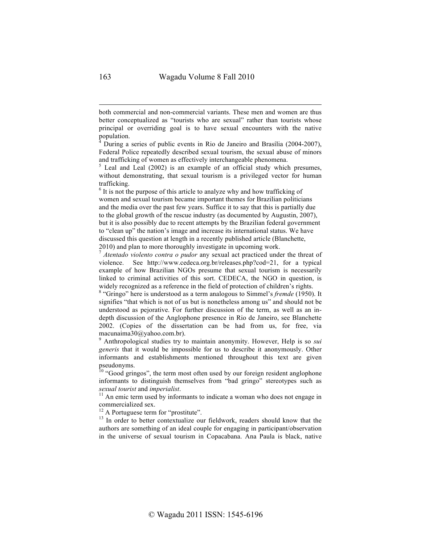both commercial and non-commercial variants. These men and women are thus better conceptualized as "tourists who are sexual" rather than tourists whose principal or overriding goal is to have sexual encounters with the native population.

 $4$  During a series of public events in Rio de Janeiro and Brasília (2004-2007), Federal Police repeatedly described sexual tourism, the sexual abuse of minors and trafficking of women as effectively interchangeable phenomena.

 $5$  Leal and Leal (2002) is an example of an official study which presumes, without demonstrating, that sexual tourism is a privileged vector for human trafficking.

 $6$  It is not the purpose of this article to analyze why and how trafficking of women and sexual tourism became important themes for Brazilian politicians and the media over the past few years. Suffice it to say that this is partially due to the global growth of the rescue industry (as documented by Augustin, 2007), but it is also possibly due to recent attempts by the Brazilian federal government to "clean up" the nation's image and increase its international status. We have discussed this question at length in a recently published article (Blanchette, 2010) and plan to more thoroughly investigate in upcoming work.

<sup>7</sup> *Atentado violento contra o pudor* any sexual act practiced under the threat of violence. See http://www.cedeca.org.br/releases.php?cod=21, for a typical example of how Brazilian NGOs presume that sexual tourism is necessarily linked to criminal activities of this sort. CEDECA, the NGO in question, is widely recognized as a reference in the field of protection of children's rights.

<sup>8</sup> "Gringo" here is understood as a term analogous to Simmel's *fremde* (1950). It signifies "that which is not of us but is nonetheless among us" and should not be understood as pejorative. For further discussion of the term, as well as an indepth discussion of the Anglophone presence in Rio de Janeiro, see Blanchette 2002. (Copies of the dissertation can be had from us, for free, via macunaima30@yahoo.com.br).

<sup>9</sup> Anthropological studies try to maintain anonymity. However, Help is so *sui generis* that it would be impossible for us to describe it anonymously. Other informants and establishments mentioned throughout this text are given pseudonyms.

 $10$  "Good gringos", the term most often used by our foreign resident anglophone informants to distinguish themselves from "bad gringo" stereotypes such as sexual tourist and imperialist.

<sup>11</sup> An emic term used by informants to indicate a woman who does not engage in commercialized sex.<br><sup>12</sup> A Portuguese term for "prostitute".

 $\frac{13}{13}$  In order to better contextualize our fieldwork, readers should know that the authors are something of an ideal couple for engaging in participant/observation in the universe of sexual tourism in Copacabana. Ana Paula is black, native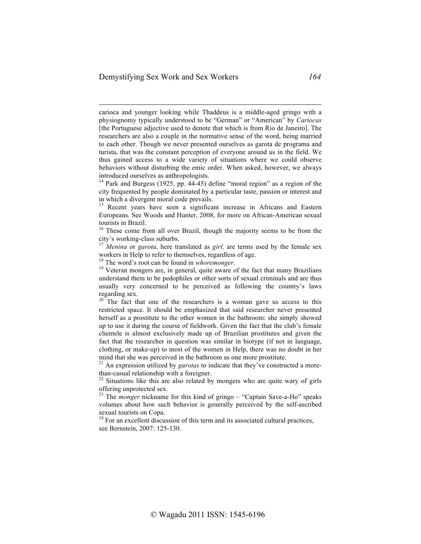carioca and younger looking while Thaddeus is a middle-aged gringo with a physiognomy typically understood to be "German" or "American" by *Cariocas* [the Portuguese adjective used to denote that which is from Rio de Janeiro]. The researchers are also a couple in the normative sense of the word, being married to each other. Though we never presented ourselves as garota de programa and turista, that was the constant perception of everyone around us in the field. We thus gained access to a wide variety of situations where we could observe behaviors without disturbing the emic order. When asked, however, we always introduced ourselves as anthropologists.

 $14$  Park and Burgess (1925, pp. 44-45) define "moral region" as a region of the city frequented by people dominated by a particular taste, passion or interest and in which a divergent moral code prevails.

<sup>15</sup> Recent years have seen a significant increase in Africans and Eastern Europeans. See Woods and Hunter, 2008, for more on African-American sexual tourists in Brazil.

 $16$  These come from all over Brazil, though the majority seems to be from the city's working-class suburbs.

<sup>17</sup> *Menina* or *garota*, here translated as *girl*, are terms used by the female sex workers in Help to refer to themselves, regardless of age.<br><sup>18</sup> The word's root can be found in *whoremonger*.

<sup>19</sup> Veteran mongers are, in general, quite aware of the fact that many Brazilians understand them to be pedophiles or other sorts of sexual criminals and are thus usually very concerned to be perceived as following the country's laws regarding sex.

<sup>20</sup> The fact that one of the researchers is a woman gave us access to this restricted space. It should be emphasized that said researcher never presented herself as a prostitute to the other women in the bathroom: she simply showed up to use it during the course of fieldwork. Given the fact that the club's female clientele is almost exclusively made up of Brazilian prostitutes and given the fact that the researcher in question was similar in biotype (if not in language, clothing, or make-up) to most of the women in Help, there was no doubt in her mind that she was perceived in the bathroom as one more prostitute.

<sup>21</sup> An expression utilized by *garotas* to indicate that they've constructed a morethan-casual relationship with a foreigner.<br><sup>22</sup> Situations like this are also related by mongers who are quite wary of girls

offering unprotected sex.

<sup>23</sup> The *monger* nickname for this kind of gringo – "Captain Save-a-Ho" speaks volumes about how such behavior is generally perceived by the self-ascribed sexual tourists on Copa.

 $24$  For an excellent discussion of this term and its associated cultural practices, see Bernstein, 2007: 125-130.